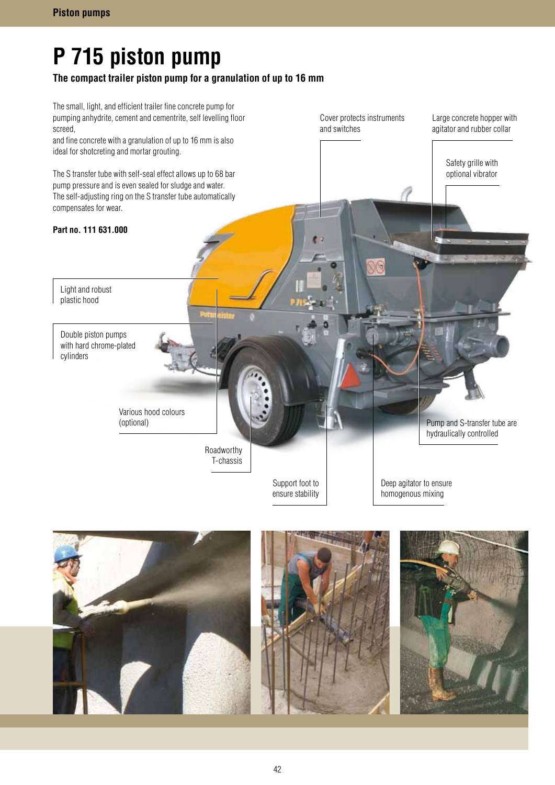# **P 715 piston pump**

## **The compact trailer piston pump for a granulation of up to 16 mm**



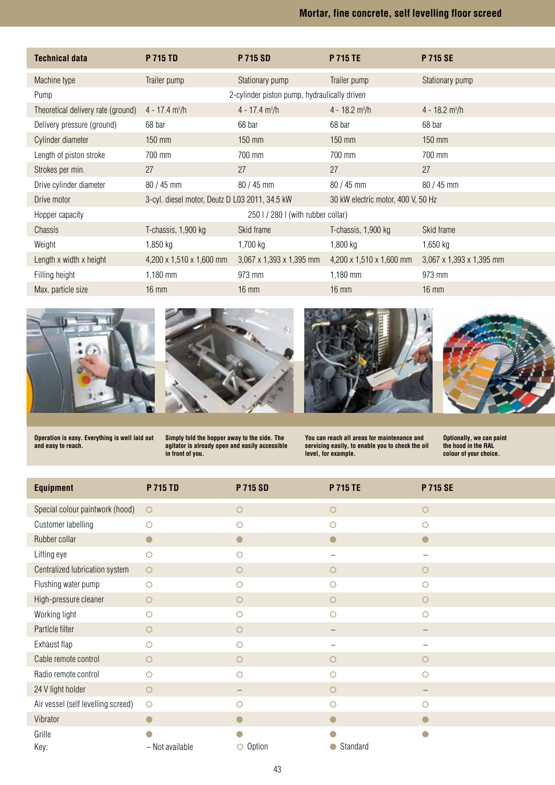# **Mortar, fine concrete, self levelling floor screed**

| <b>Technical data</b>              | <b>P 715 TD</b>                                | <b>P 715 SD</b>                              | <b>P 715 TE</b>                    | <b>P 715 SE</b>                      |
|------------------------------------|------------------------------------------------|----------------------------------------------|------------------------------------|--------------------------------------|
| Machine type                       | Trailer pump                                   | Stationary pump                              | Trailer pump                       | Stationary pump                      |
| Pump                               |                                                | 2-cylinder piston pump, hydraulically driven |                                    |                                      |
| Theoretical delivery rate (ground) | $4 - 17.4$ m <sup>3</sup> /h                   | $4 - 17.4$ m <sup>3</sup> /h                 | $4 - 18.2$ m <sup>3</sup> /h       | $4 - 18.2$ m <sup>3</sup> /h         |
| Delivery pressure (ground)         | 68 bar                                         | 68 bar                                       | 68 bar                             | 68 bar                               |
| Cylinder diameter                  | $150$ mm                                       | $150$ mm                                     | $150$ mm                           | $150$ mm                             |
| Length of piston stroke            | 700 mm                                         | 700 mm                                       | 700 mm                             | 700 mm                               |
| Strokes per min.                   | 27                                             | 27                                           | 27                                 | 27                                   |
| Drive cylinder diameter            | 80 / 45 mm                                     | $80 / 45$ mm                                 | $80 / 45$ mm                       | 80 / 45 mm                           |
| Drive motor                        | 3-cyl. diesel motor, Deutz D L03 2011, 34.5 kW |                                              | 30 kW electric motor, 400 V, 50 Hz |                                      |
| Hopper capacity                    |                                                |                                              | 250 I / 280 I (with rubber collar) |                                      |
| Chassis                            | T-chassis, 1,900 kg                            | Skid frame                                   | T-chassis, 1,900 kg                | Skid frame                           |
| Weight                             | $1,850$ kg                                     | 1,700 kg                                     | 1,800 kg                           | $1,650$ kg                           |
| Length x width x height            | 4,200 x 1,510 x 1,600 mm                       | 3,067 x 1,393 x 1,395 mm                     | 4,200 x 1,510 x 1,600 mm           | $3,067 \times 1,393 \times 1,395$ mm |
| Filling height                     | $1,180$ mm                                     | 973 mm                                       | $1,180$ mm                         | 973 mm                               |
| Max. particle size                 | $16 \text{ mm}$                                | $16 \text{ mm}$                              | $16 \text{ mm}$                    | $16 \text{ mm}$                      |









**Operation is easy. Everything is well laid out and easy to reach.**

**Simply fold the hopper away to the side. The agitator is already open and easily accessible in front of you.**

**You can reach all areas for maintenance and servicing easily, to enable you to check the oil level, for example.**

**Optionally, we can paint the hood in the RAL colour of your choice.**

| <b>Equipment</b>                   | <b>P 715 TD</b> | <b>P 715 SD</b> | P 715 TE               | P 715 SE                 |
|------------------------------------|-----------------|-----------------|------------------------|--------------------------|
| Special colour paintwork (hood)    | $\circ$         | $\circ$         | $\circ$                | $\circ$                  |
| <b>Customer labelling</b>          | O               | $\circ$         | $\circ$                | $\circ$                  |
| Rubber collar                      | $\bullet$       | D               | $\bullet$              | $\bullet$                |
| Lifting eye                        | O               | $\circ$         | —                      | $\overline{\phantom{0}}$ |
| Centralized lubrication system     | $\circ$         | $\circ$         | $\circ$                | $\circ$                  |
| Flushing water pump                | $\circ$         | $\circ$         | $\circ$                | $\circ$                  |
| High-pressure cleaner              | $\circ$         | $\circ$         | $\circ$                | $\circ$                  |
| Working light                      | O               | $\circ$         | O                      | $\circ$                  |
| Particle filter                    | O               | $\circ$         |                        | $\overline{\phantom{0}}$ |
| Exhaust flap                       | ∩               | O               |                        |                          |
| Cable remote control               | $\bigcirc$      | $\circ$         | $\circ$                | $\circ$                  |
| Radio remote control               | О               | О               | O                      | O                        |
| 24 V light holder                  | $\circ$         |                 | $\circ$                |                          |
| Air vessel (self levelling screed) | $\circ$         | Ω               | O                      | O                        |
| Vibrator                           |                 |                 |                        |                          |
| Grille                             |                 |                 |                        | O                        |
| Key:                               | - Not available | $\circ$ Option  | Standard<br>$\bigcirc$ |                          |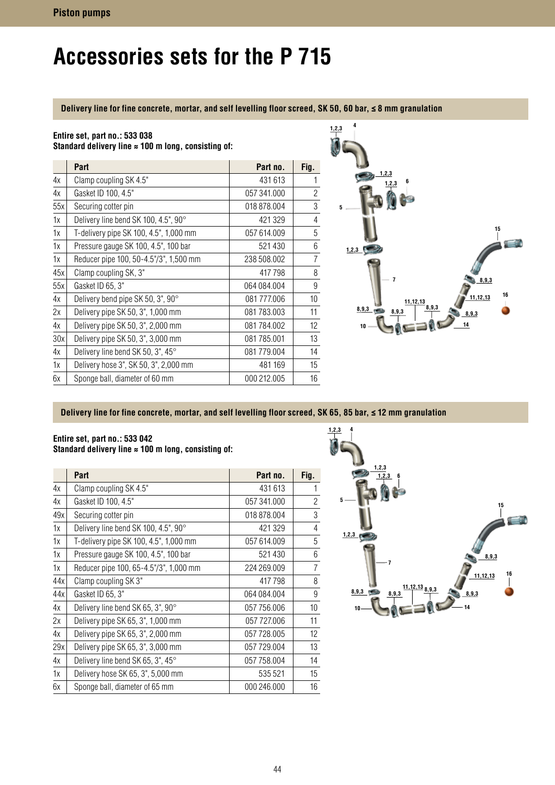# **Accessories sets for the P 715**

### **Delivery line for fine concrete, mortar, and self levelling floor screed, SK 50, 60 bar, ≤ 8 mm granulation**

### **Entire set, part no.: 533 038**

**Standard delivery line ≈ 100 m long, consisting of:**

|     | Part                                   | Part no.    | Fig.           |
|-----|----------------------------------------|-------------|----------------|
| 4х  | Clamp coupling SK 4.5"                 | 431 613     | 1              |
| 4х  | Gasket ID 100, 4.5"                    | 057 341,000 | $\overline{2}$ |
| 55x | Securing cotter pin                    | 018 878,004 | 3              |
| 1x  | Delivery line bend SK 100, 4.5", 90°   | 421 329     | 4              |
| 1x  | T-delivery pipe SK 100, 4.5", 1,000 mm | 057 614.009 | 5              |
| 1x  | Pressure gauge SK 100, 4.5", 100 bar   | 521430      | 6              |
| 1х  | Reducer pipe 100, 50-4.5"/3", 1,500 mm | 238 508.002 | $\overline{7}$ |
| 45x | Clamp coupling SK, 3"                  | 417798      | 8              |
| 55x | Gasket ID 65, 3"                       | 064 084.004 | 9              |
| 4x  | Delivery bend pipe SK 50, 3", 90°      | 081 777.006 | 10             |
| 2x  | Delivery pipe SK 50, 3", 1,000 mm      | 081 783.003 | 11             |
| 4x  | Delivery pipe SK 50, 3", 2,000 mm      | 081 784.002 | 12             |
| 30x | Delivery pipe SK 50, 3", 3,000 mm      | 081 785,001 | 13             |
| 4х  | Delivery line bend SK 50, 3", 45°      | 081 779.004 | 14             |
| 1х  | Delivery hose 3", SK 50, 3", 2,000 mm  | 481 169     | 15             |
| 6х  | Sponge ball, diameter of 60 mm         | 000 212,005 | 16             |



#### **Delivery line for fine concrete, mortar, and self levelling floor screed, SK 65, 85 bar, ≤ 12 mm granulation**

#### **Entire set, part no.: 533 042 Standard delivery line ≈ 100 m long, consisting of:**

|     | Part                                   | Part no.    | Fig.           |
|-----|----------------------------------------|-------------|----------------|
| 4х  | Clamp coupling SK 4.5"                 | 431 613     | 1              |
| 4х  | Gasket ID 100, 4.5"                    | 057 341,000 | $\overline{2}$ |
| 49x | Securing cotter pin                    | 018 878.004 | 3              |
| 1х  | Delivery line bend SK 100, 4.5", 90°   | 421 329     | $\overline{4}$ |
| 1х  | T-delivery pipe SK 100, 4.5", 1,000 mm | 057 614.009 | 5              |
| 1х  | Pressure gauge SK 100, 4.5", 100 bar   | 521 430     | 6              |
| 1х  | Reducer pipe 100, 65-4.5"/3", 1,000 mm | 224 269,009 | $\overline{7}$ |
| 44x | Clamp coupling SK 3"                   | 417798      | 8              |
| 44x | Gasket ID 65, 3"                       | 064 084.004 | 9              |
| 4х  | Delivery line bend SK 65, 3", 90°      | 057 756.006 | 10             |
| 2x  | Delivery pipe SK 65, 3", 1,000 mm      | 057 727.006 | 11             |
| 4х  | Delivery pipe SK 65, 3", 2,000 mm      | 057 728.005 | 12             |
| 29x | Delivery pipe SK 65, 3", 3,000 mm      | 057 729.004 | 13             |
| 4х  | Delivery line bend SK 65, 3", 45°      | 057 758.004 | 14             |
| 1х  | Delivery hose SK 65, 3", 5,000 mm      | 535 521     | 15             |
| 6х  | Sponge ball, diameter of 65 mm         | 000 246.000 | 16             |

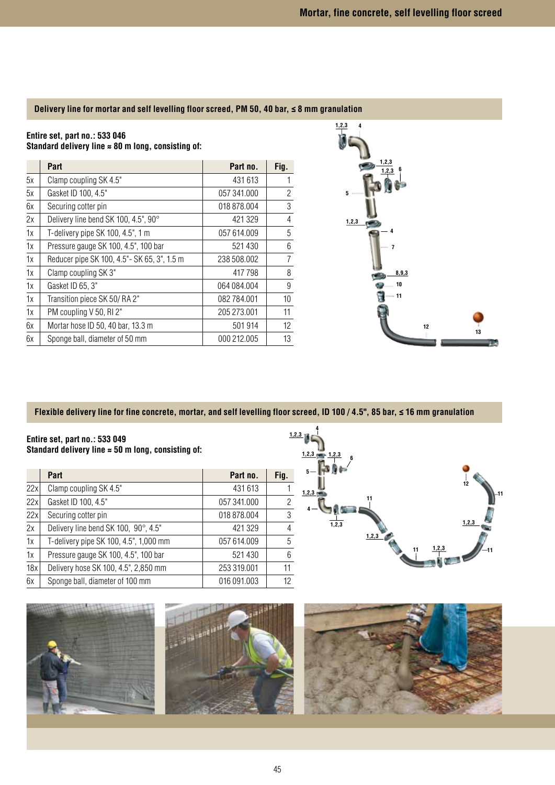### **Delivery line for mortar and self levelling floor screed, PM 50, 40 bar, ≤ 8 mm granulation**

## **Entire set, part no.: 533 046**

**Standard delivery line ≈ 80 m long, consisting of:**

|    | Part                                         | Part no.    | Fig.           |
|----|----------------------------------------------|-------------|----------------|
| 5x | Clamp coupling SK 4.5"                       | 431 613     | 1              |
| 5x | Gasket ID 100, 4.5"                          | 057 341,000 | $\overline{c}$ |
| 6х | Securing cotter pin                          | 018 878.004 | 3              |
| 2x | Delivery line bend SK 100, 4.5", 90°         | 421 329     | $\overline{4}$ |
| 1x | T-delivery pipe SK 100, 4.5", 1 m            | 057 614.009 | 5              |
| 1х | Pressure gauge SK 100, 4.5", 100 bar         | 521 430     | 6              |
| 1x | Reducer pipe SK 100, 4.5" - SK 65, 3", 1.5 m | 238 508.002 | $\overline{7}$ |
| 1x | Clamp coupling SK 3"                         | 417 798     | 8              |
| 1x | Gasket ID 65, 3"                             | 064 084.004 | 9              |
| 1x | Transition piece SK 50/RA 2"                 | 082 784.001 | 10             |
| 1x | PM coupling V 50, RI 2"                      | 205 273.001 | 11             |
| 6x | Mortar hose ID 50, 40 bar, 13.3 m            | 501 914     | 12             |
| 6x | Sponge ball, diameter of 50 mm               | 000 212,005 | 13             |



#### **Flexible delivery line for fine concrete, mortar, and self levelling floor screed, ID 100 / 4.5", 85 bar, ≤ 16 mm granulation**

**4**

**Entire set, part no.: 533 049 Standard delivery line ≈ 50 m long, consisting of:**

|     | Part                                   | Part no.    | Fig.           |
|-----|----------------------------------------|-------------|----------------|
| 22x | Clamp coupling SK 4.5"                 | 431 613     |                |
| 22x | Gasket ID 100, 4.5"                    | 057 341,000 | $\overline{2}$ |
| 22x | Securing cotter pin                    | 018 878,004 | $\mathbf{3}$   |
| 2x  | Delivery line bend SK 100, 90°, 4.5"   | 421 329     | 4              |
| 1x  | T-delivery pipe SK 100, 4.5", 1,000 mm | 057 614.009 | 5              |
| 1x  | Pressure gauge SK 100, 4.5", 100 bar   | 521 430     | $6\,$          |
| 18x | Delivery hose SK 100, 4.5", 2,850 mm   | 253 319,001 | 11             |
| 6x  | Sponge ball, diameter of 100 mm        | 016 091.003 | 12             |



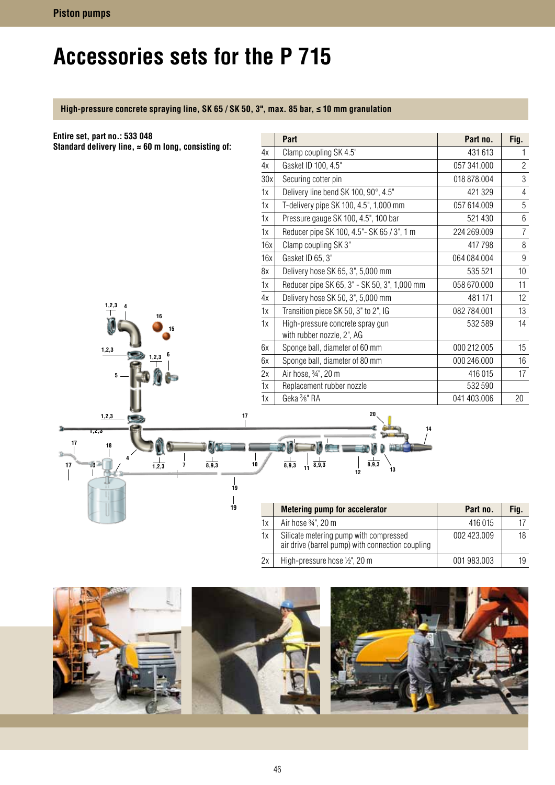# **Accessories sets for the P 715**

## **High-pressure concrete spraying line, SK 65 / SK 50, 3", max. 85 bar, ≤ 10 mm granulation**

| Entire set, part no.: 533 048                                   |          | Part                                                                                       | Part no.    | Fig.                     |
|-----------------------------------------------------------------|----------|--------------------------------------------------------------------------------------------|-------------|--------------------------|
| Standard delivery line, $\approx 60$ m long, consisting of:     | 4x       | Clamp coupling SK 4.5"                                                                     | 431 613     | 1                        |
|                                                                 | 4x       | Gasket ID 100, 4.5"                                                                        | 057 341.000 | $\overline{c}$           |
|                                                                 | 30x      | Securing cotter pin                                                                        | 018 878.004 | 3                        |
|                                                                 | 1x       | Delivery line bend SK 100, 90°, 4.5"                                                       | 421 329     | $\overline{\mathcal{L}}$ |
|                                                                 | 1x       | T-delivery pipe SK 100, 4.5", 1,000 mm                                                     | 057 614.009 | 5                        |
|                                                                 | 1x       | Pressure gauge SK 100, 4.5", 100 bar                                                       | 521 430     | $6\phantom{.}6$          |
|                                                                 | 1x       | Reducer pipe SK 100, 4.5" - SK 65 / 3", 1 m                                                | 224 269.009 | $\overline{7}$           |
|                                                                 | 16x      | Clamp coupling SK 3"                                                                       | 417798      | 8                        |
|                                                                 | 16x      | Gasket ID 65, 3"                                                                           | 064 084.004 | 9                        |
|                                                                 | 8x       | Delivery hose SK 65, 3", 5,000 mm                                                          | 535 521     | 10                       |
|                                                                 | 1x       | Reducer pipe SK 65, 3" - SK 50, 3", 1,000 mm                                               | 058 670.000 | 11                       |
|                                                                 | 4x       | Delivery hose SK 50, 3", 5,000 mm                                                          | 481 171     | 12                       |
| 1,2,3<br>16                                                     | 1x       | Transition piece SK 50, 3" to 2", IG                                                       | 082 784.001 | 13                       |
| 15                                                              | 1x       | High-pressure concrete spray gun<br>with rubber nozzle, 2", AG                             | 532 589     | 14                       |
| 1, 2, 3                                                         | 6x       | Sponge ball, diameter of 60 mm                                                             | 000 212.005 | 15                       |
| 2,3                                                             | 6x       | Sponge ball, diameter of 80 mm                                                             | 000 246.000 | 16                       |
|                                                                 | 2x       | Air hose, 3/4", 20 m                                                                       | 416 015     | 17                       |
|                                                                 | 1x       | Replacement rubber nozzle                                                                  | 532 590     |                          |
|                                                                 | 1x       | Geka 3/8" RA                                                                               | 041 403.006 | 20                       |
| 1, 2, 3<br>1,2,3<br>17<br>18<br>8,9,3<br>7<br>17<br>1,2,3<br>19 | 17<br>10 | 20<br>$\frac{1}{11}$ $\frac{1}{8,9,3}$<br>$\frac{1}{8,9,3}$<br>8,9,3<br>13<br>12           |             |                          |
| 19                                                              |          | <b>Metering pump for accelerator</b>                                                       | Part no.    | Fig.                     |
|                                                                 | 1x       | Air hose 3/4", 20 m                                                                        | 416 015     | 17                       |
|                                                                 | 1x       | Silicate metering pump with compressed<br>air drive (barrel pump) with connection coupling | 002 423.009 | 18                       |



 $2x$  High-pressure hose  $\frac{1}{2}$ ", 20 m 001 983.003 19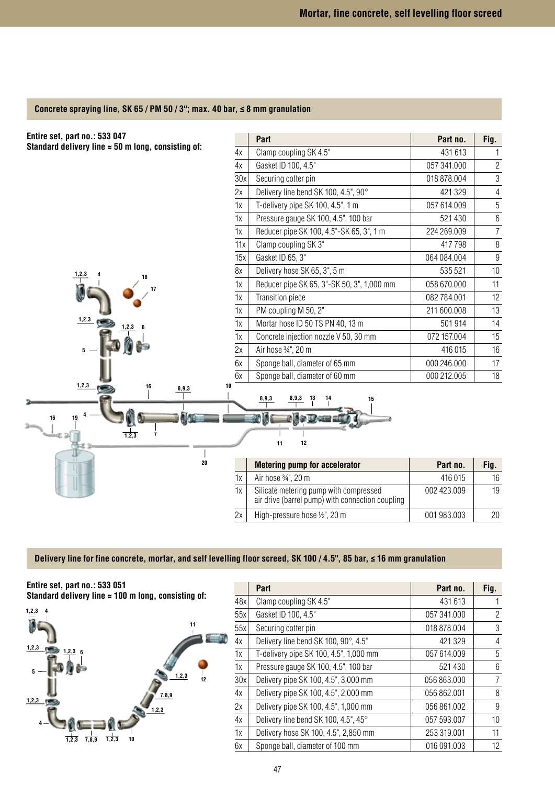#### **Concrete spraying line, SK 65 / PM 50 / 3"; max. 40 bar, ≤ 8 mm granulation**



#### **Delivery line for fine concrete, mortar, and self levelling floor screed, SK 100 / 4.5", 85 bar, ≤ 16 mm granulation**



|     | Part                                   | Part no.    | Fig. |
|-----|----------------------------------------|-------------|------|
| 48x | Clamp coupling SK 4.5"                 | 431 613     |      |
| 55x | Gasket ID 100, 4.5"                    | 057 341,000 | 2    |
| 55x | Securing cotter pin                    | 018 878,004 | 3    |
| 4х  | Delivery line bend SK 100, 90°, 4.5"   | 421 329     | 4    |
| 1x  | T-delivery pipe SK 100, 4.5", 1,000 mm | 057 614.009 | 5    |
| 1x  | Pressure gauge SK 100, 4.5", 100 bar   | 521 430     | 6    |
| 30x | Delivery pipe SK 100, 4.5", 3,000 mm   | 056 863,000 | 7    |
| 4х  | Delivery pipe SK 100, 4.5", 2,000 mm   | 056 862,001 | 8    |
| 2x  | Delivery pipe SK 100, 4.5", 1,000 mm   | 056 861.002 | 9    |
| 4х  | Delivery line bend SK 100, 4.5", 45°   | 057 593,007 | 10   |
| 1x  | Delivery hose SK 100, 4.5", 2,850 mm   | 253 319.001 | 11   |
| 6x  | Sponge ball, diameter of 100 mm        | 016 091.003 | 12   |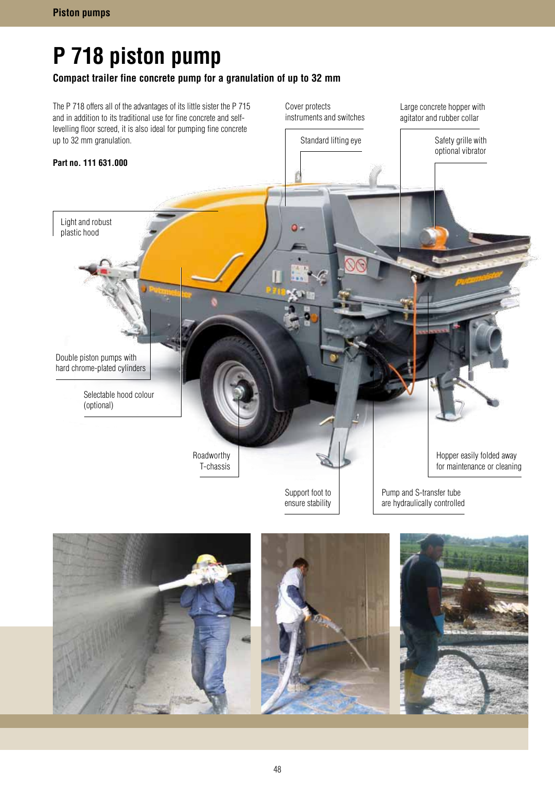# **P 718 piston pump**

## **Compact trailer fine concrete pump for a granulation of up to 32 mm**



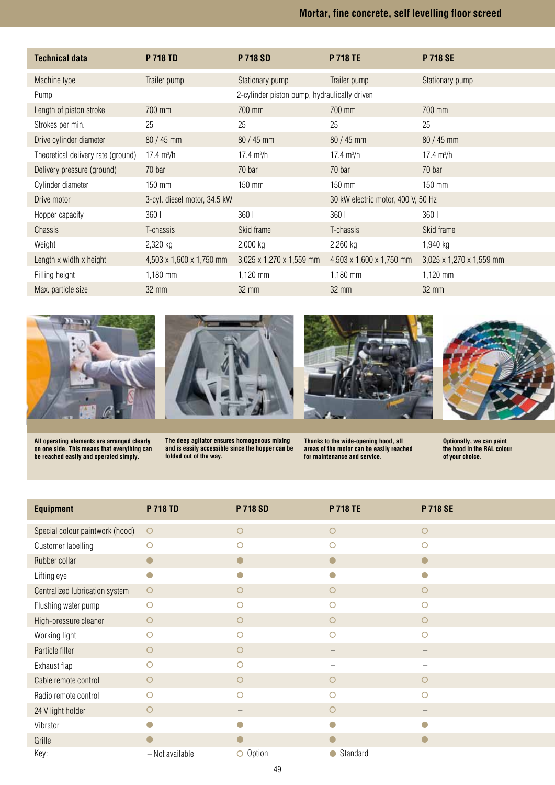# **Mortar, fine concrete, self levelling floor screed**

| Technical data                     | <b>P 718 TD</b>              | <b>P 718 SD</b>                              | <b>P 718 TE</b>                    | <b>P 718 SE</b>          |
|------------------------------------|------------------------------|----------------------------------------------|------------------------------------|--------------------------|
| Machine type                       | Trailer pump                 | Stationary pump                              | Trailer pump                       | Stationary pump          |
| Pump                               |                              | 2-cylinder piston pump, hydraulically driven |                                    |                          |
| Length of piston stroke            | 700 mm                       | 700 mm                                       | 700 mm                             | 700 mm                   |
| Strokes per min.                   | 25                           | 25                                           | 25                                 | 25                       |
| Drive cylinder diameter            | 80 / 45 mm                   | 80 / 45 mm                                   | $80 / 45$ mm                       | $80 / 45$ mm             |
| Theoretical delivery rate (ground) | $17.4 \text{ m}^3/h$         | $17.4 \text{ m}^3/h$                         | 17.4 $m^3/h$                       | $17.4 \text{ m}^3/h$     |
| Delivery pressure (ground)         | 70 bar                       | 70 bar                                       | 70 bar                             | 70 bar                   |
| Cylinder diameter                  | 150 mm                       | $150$ mm                                     | 150 mm                             | $150$ mm                 |
| Drive motor                        | 3-cyl. diesel motor, 34.5 kW |                                              | 30 kW electric motor, 400 V, 50 Hz |                          |
| Hopper capacity                    | 360 l                        | 360 <sub>1</sub>                             | 360 l                              | 360 <sub>1</sub>         |
| Chassis                            | T-chassis                    | Skid frame                                   | T-chassis                          | Skid frame               |
| Weight                             | 2,320 kg                     | $2,000$ kg                                   | 2,260 kg                           | 1,940 kg                 |
| Length x width x height            | 4,503 x 1,600 x 1,750 mm     | 3,025 x 1,270 x 1,559 mm                     | 4,503 x 1,600 x 1,750 mm           | 3,025 x 1,270 x 1,559 mm |
| Filling height                     | $1,180$ mm                   | 1,120 mm                                     | $1,180$ mm                         | 1,120 mm                 |
| Max. particle size                 | $32 \text{ mm}$              | $32 \text{ mm}$                              | $32 \text{ mm}$                    | $32 \text{ mm}$          |







**The deep agitator ensures homogenous mixing and is easily accessible since the hopper can be folded out of the way.**





**Thanks to the wide-opening hood, all areas of the motor can be easily reached for maintenance and service.**

**Optionally, we can paint the hood in the RAL colour of your choice.**

| <b>Equipment</b>                | <b>P 718 TD</b> | <b>P 718 SD</b> | <b>P 718 TE</b>        | <b>P 718 SE</b> |
|---------------------------------|-----------------|-----------------|------------------------|-----------------|
| Special colour paintwork (hood) | $\circ$         | $\circ$         | $\circ$                | $\circ$         |
| Customer labelling              | $\circ$         | $\circ$         | $\circ$                | $\circ$         |
| Rubber collar                   | $\bullet$       | $\bullet$       | $\bullet$              |                 |
| Lifting eye                     | $\Box$          |                 | O                      |                 |
| Centralized lubrication system  | $\circ$         | $\circ$         | $\circ$                | $\circ$         |
| Flushing water pump             | $\circ$         | $\circ$         | $\circ$                | $\circ$         |
| High-pressure cleaner           | $\circ$         | $\circ$         | $\circ$                | $\circ$         |
| Working light                   | $\circ$         | $\circ$         | $\circ$                | $\circ$         |
| Particle filter                 | O               | $\circ$         |                        |                 |
| Exhaust flap                    | Ω               | O               |                        |                 |
| Cable remote control            | $\circ$         | $\circ$         | $\circ$                | $\circ$         |
| Radio remote control            | $\circ$         | $\circ$         | $\circ$                | $\circ$         |
| 24 V light holder               | $\circ$         | -               | $\circ$                |                 |
| Vibrator                        | O               |                 | O                      |                 |
| Grille                          |                 |                 |                        |                 |
| Key:                            | - Not available | O Option        | Standard<br>$\bigcirc$ |                 |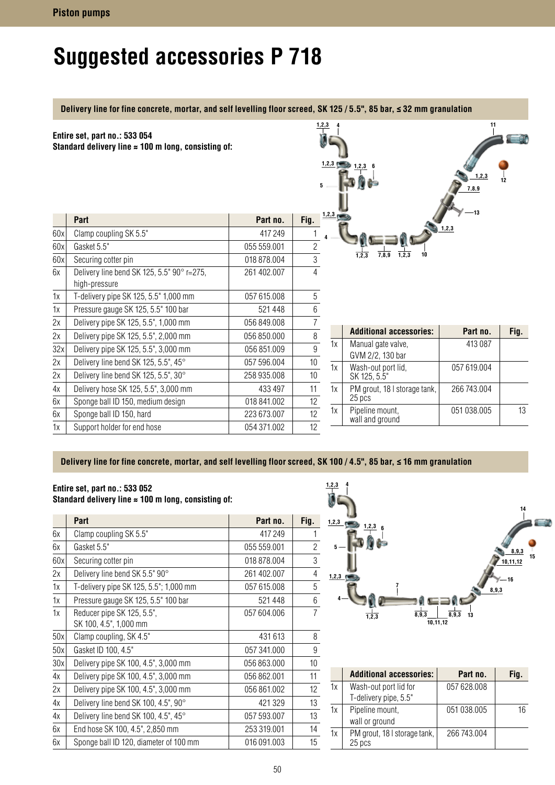# **Suggested accessories P 718**

**Delivery line for fine concrete, mortar, and self levelling floor screed, SK 125 / 5.5", 85 bar, ≤ 32 mm granulation**

|     | Entire set, part no.: 533 054<br>Standard delivery line $\approx 100$ m long, consisting of: |             | 1, 2, 3<br>5     | 1,2,3 | 1, 2, 3                                | 11<br>7,8,9 |      |
|-----|----------------------------------------------------------------------------------------------|-------------|------------------|-------|----------------------------------------|-------------|------|
|     | Part                                                                                         | Part no.    | Fig.             | 1,2,3 |                                        | $-13$       |      |
| 60x | Clamp coupling SK 5.5"                                                                       | 417 249     |                  |       |                                        |             |      |
| 60x | Gasket 5.5"                                                                                  | 055 559.001 | $\overline{2}$   |       |                                        |             |      |
| 60x | Securing cotter pin                                                                          | 018 878,004 | 3                |       | 7,8,9<br>1,2,3                         |             |      |
| 6x  | Delivery line bend SK 125, 5.5" 90° r=275,<br>high-pressure                                  | 261 402.007 | 4                |       |                                        |             |      |
| 1x  | T-delivery pipe SK 125, 5.5" 1,000 mm                                                        | 057 615.008 | 5                |       |                                        |             |      |
| 1x  | Pressure gauge SK 125, 5.5" 100 bar                                                          | 521448      | 6                |       |                                        |             |      |
| 2x  | Delivery pipe SK 125, 5.5", 1,000 mm                                                         | 056 849.008 | $\overline{7}$   |       |                                        |             |      |
| 2x  | Delivery pipe SK 125, 5.5", 2,000 mm                                                         | 056 850.000 | $\, 8$           |       | <b>Additional accessories:</b>         | Part no.    | Fig. |
| 32x | Delivery pipe SK 125, 5.5", 3,000 mm                                                         | 056 851.009 | $\boldsymbol{9}$ | 1x    | Manual gate valve,                     | 413 087     |      |
| 2x  | Delivery line bend SK 125, 5.5", 45°                                                         | 057 596.004 | 10               | 1x    | GVM 2/2, 130 bar<br>Wash-out port lid, | 057 619.004 |      |
| 2x  | Delivery line bend SK 125, 5.5", 30°                                                         | 258 935.008 | 10               |       | SK 125, 5.5"                           |             |      |
| 4х  | Delivery hose SK 125, 5.5", 3,000 mm                                                         | 433 497     | 11               | 1x    | PM grout, 18 I storage tank,           | 266 743.004 |      |
| 6x  | Sponge ball ID 150, medium design                                                            | 018 841.002 | 12               |       | 25 pcs                                 |             |      |
| 6x  | Sponge ball ID 150, hard                                                                     | 223 673.007 | 12               | 1x    | Pipeline mount,<br>wall and ground     | 051 038.005 | 13   |
| 1x  | Support holder for end hose                                                                  | 054 371.002 | 12               |       |                                        |             |      |

## Delivery line for fine concrete, mortar, and self levelling floor screed, SK 100 / 4.5", 85 bar, ≤ 16 mm granulation

#### **Entire set, part no.: 533 052 Standard delivery line ≈ 100 m long, consisting of:**

|     | Part                                                 | Part no.    | Fig.           |
|-----|------------------------------------------------------|-------------|----------------|
| 6х  | Clamp coupling SK 5.5"                               | 417 249     | 1              |
| 6x  | Gasket 5.5"                                          | 055 559.001 | $\overline{2}$ |
| 60x | Securing cotter pin                                  | 018 878.004 | $\mathfrak{Z}$ |
| 2x  | Delivery line bend SK 5.5" 90°                       | 261 402.007 | $\overline{4}$ |
| 1x  | T-delivery pipe SK 125, 5.5"; 1,000 mm               | 057 615.008 | $\overline{5}$ |
| 1x  | Pressure gauge SK 125, 5.5" 100 bar                  | 521448      | $6\,$          |
| 1x  | Reducer pipe SK 125, 5.5",<br>SK 100, 4.5", 1,000 mm | 057 604.006 | $\overline{7}$ |
| 50x | Clamp coupling, SK 4.5"                              | 431 613     | 8              |
| 50x | Gasket ID 100, 4.5"                                  | 057 341,000 | $\overline{9}$ |
| 30x | Delivery pipe SK 100, 4.5", 3,000 mm                 | 056 863,000 | 10             |
| 4x  | Delivery pipe SK 100, 4.5", 3,000 mm                 | 056 862,001 | 11             |
| 2x  | Delivery pipe SK 100, 4.5", 3,000 mm                 | 056 861.002 | 12             |
| 4х  | Delivery line bend SK 100, 4.5", 90°                 | 421 329     | 13             |
| 4х  | Delivery line bend SK 100, 4.5", 45°                 | 057 593.007 | 13             |
| 6x  | End hose SK 100, 4.5", 2,850 mm                      | 253 319,001 | 14             |
| 6x  | Sponge ball ID 120, diameter of 100 mm               | 016 091.003 | 15             |



|    | <b>Additional accessories:</b>                 | Part no.    | Fig. |
|----|------------------------------------------------|-------------|------|
| 1x | Wash-out port lid for<br>T-delivery pipe, 5.5" | 057 628,008 |      |
| 1x | Pipeline mount,<br>wall or ground              | 051 038.005 | 16   |
| 1x | PM grout, 18 I storage tank,<br>25 pcs         | 266 743,004 |      |